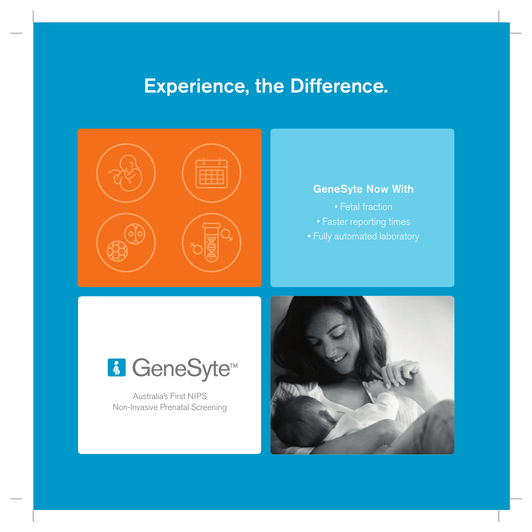### **Experience, the Difference.**



#### **GeneSyte Now With**

- Fetal fraction
- Faster reporting times
- Fully automated laboratory



Australia's First NIPS Non-Invasive Prenatal Screening

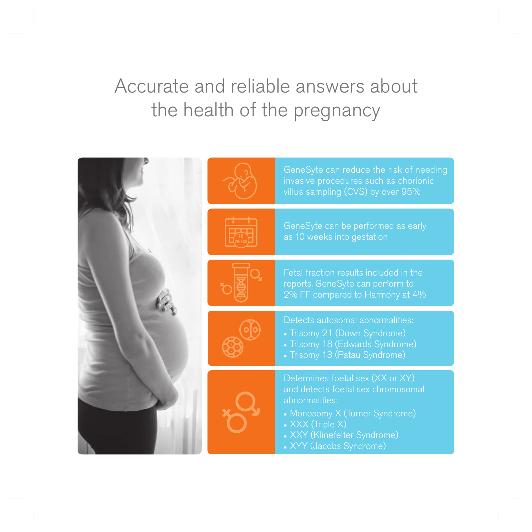### Accurate and reliable answers about the health of the pregnancy

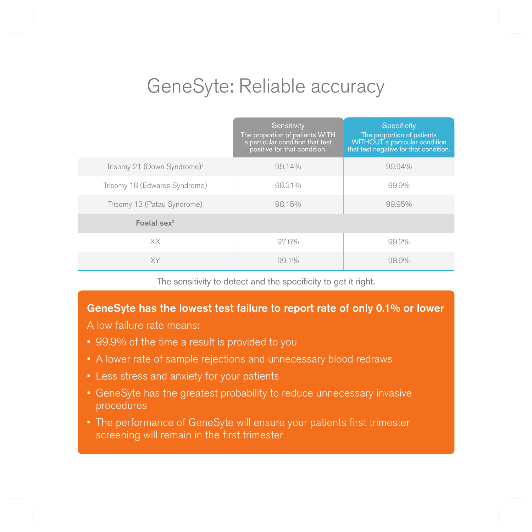### GeneSyte: Reliable accuracy

|                                         | Sensitivity<br>The proportion of patients WITH<br>a particular condition that test<br>positive for that condition. | <b>Specificity</b><br>The proportion of patients<br>WITHOUT a particular condition<br>that test negative for that condition. |
|-----------------------------------------|--------------------------------------------------------------------------------------------------------------------|------------------------------------------------------------------------------------------------------------------------------|
| Trisomy 21 (Down Syndrome) <sup>1</sup> | 99.14%                                                                                                             | 99,94%                                                                                                                       |
| Trisomy 18 (Edwards Syndrome)           | 98.31%                                                                                                             | 99.9%                                                                                                                        |
| Trisomy 13 (Patau Syndrome)             | 98.15%                                                                                                             | 99,95%                                                                                                                       |
| Foetal sex $2$                          |                                                                                                                    |                                                                                                                              |
| XX                                      | 97.6%                                                                                                              | 99.2%                                                                                                                        |
| <b>XY</b>                               | $99.1\%$                                                                                                           | 98.9%                                                                                                                        |

The sensitivity to detect and the specificity to get it right.

#### **GeneSyte has the lowest test failure to report rate of only 0.1% or lower**

- A low failure rate means:
- 99.9% of the time a result is provided to you
- A lower rate of sample rejections and unnecessary blood redraws
- Less stress and anxiety for your patients
- GeneSyte has the greatest probability to reduce unnecessary invasive procedures
- The performance of GeneSyte will ensure your patients first trimester screening will remain in the first trimester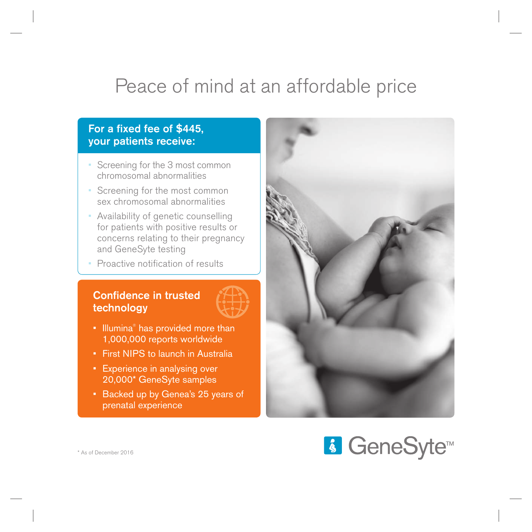# Peace of mind at an affordable price

#### For a fixed fee of \$445. **your patients receive:**

- Screening for the 3 most common chromosomal abnormalities
- Screening for the most common sex chromosomal abnormalities
- Availability of genetic counselling for patients with positive results or concerns relating to their pregnancy and GeneSyte testing
- Proactive notification of results

#### **Confidence in trusted technology**



- Illumina® has provided more than 1,000,000 reports worldwide
- First NIPS to launch in Australia
- Experience in analysing over 20,000\* GeneSyte samples
- Backed up by Genea's 25 years of prenatal experience



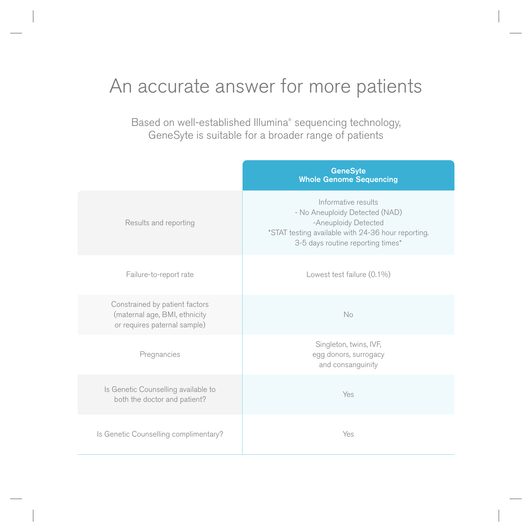### An accurate answer for more patients

Based on well-established Illumina® sequencing technology, GeneSyte is suitable for a broader range of patients

|                                                                                                 | <b>GeneSyte</b><br><b>Whole Genome Sequencing</b>                                                                                                                        |
|-------------------------------------------------------------------------------------------------|--------------------------------------------------------------------------------------------------------------------------------------------------------------------------|
| Results and reporting                                                                           | Informative results<br>- No Aneuploidy Detected (NAD)<br>-Aneuploidy Detected<br>*STAT testing available with 24-36 hour reporting.<br>3-5 days routine reporting times* |
| Failure-to-report rate                                                                          | Lowest test failure (0.1%)                                                                                                                                               |
| Constrained by patient factors<br>(maternal age, BMI, ethnicity<br>or requires paternal sample) | <b>No</b>                                                                                                                                                                |
| Pregnancies                                                                                     | Singleton, twins, IVF,<br>egg donors, surrogacy<br>and consanguinity                                                                                                     |
| Is Genetic Counselling available to<br>both the doctor and patient?                             | Yes                                                                                                                                                                      |
| Is Genetic Counselling complimentary?                                                           | Yes                                                                                                                                                                      |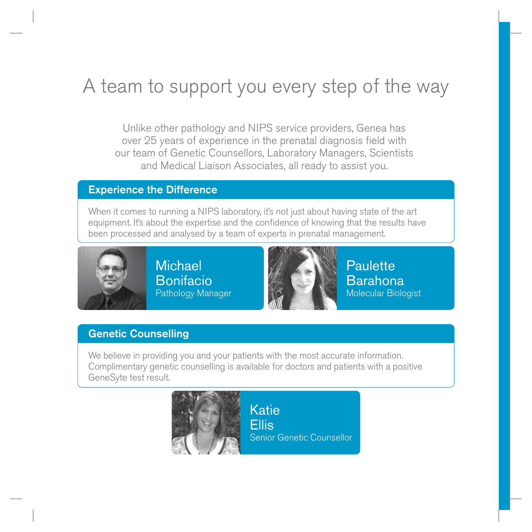# A team to support you every step of the way

Unlike other pathology and NIPS service providers, Genea has over 25 years of experience in the prenatal diagnosis field with our team of Genetic Counsellors, Laboratory Managers, Scientists and Medical Liaison Associates, all ready to assist you.

#### **Experience the Difference**

When it comes to running a NIPS laboratory, it's not just about having state of the art equipment. It's about the expertise and the confidence of knowing that the results have been processed and analysed by a team of experts in prenatal management.



**Michael** Bonifacio Pathology Manager



**Paulette** Barahona Molecular Biologist

#### **Genetic Counselling**

We believe in providing you and your patients with the most accurate information. Complimentary genetic counselling is available for doctors and patients with a positive GeneSyte test result.



**Katie** Ellis Senior Genetic Counsellor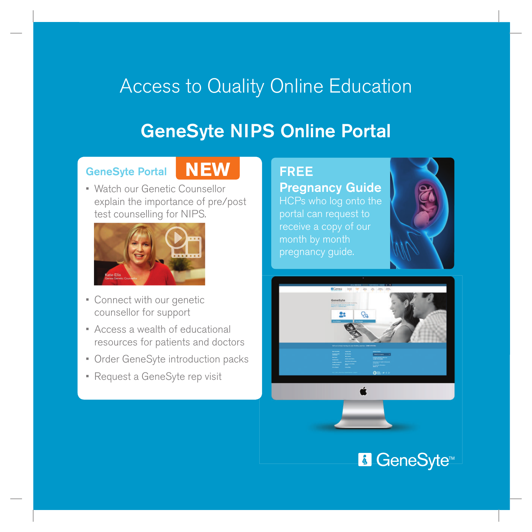# Access to Quality Online Education

### **GeneSyte NIPS Online Portal**

#### **GeneSyte Portal**

### **NEW**

• Watch our Genetic Counsellor explain the importance of pre/post test counselling for NIPS.



- Connect with our genetic counsellor for support
- Access a wealth of educational resources for patients and doctors
- Order GeneSyte introduction packs
- Request a GeneSyte rep visit

### **FREE**

### **Pregnancy Guide** HCPs who log onto the

portal can request to receive a copy of our month by month pregnancy guide.